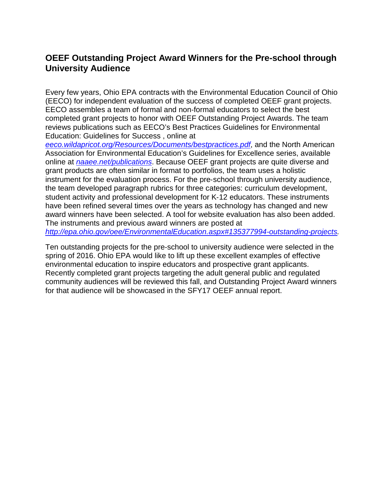# **OEEF Outstanding Project Award Winners for the Pre-school through University Audience**

Every few years, Ohio EPA contracts with the Environmental Education Council of Ohio (EECO) for independent evaluation of the success of completed OEEF grant projects. EECO assembles a team of formal and non‐formal educators to select the best completed grant projects to honor with OEEF Outstanding Project Awards. The team reviews publications such as EECO's Best Practices Guidelines for Environmental Education: Guidelines for Success , online at

*[eeco.wildapricot.org/Resources/Documents/bestpractices.pdf](https://eeco.wildapricot.org/Resources/Documents/bestpractices.pdf)*, and the North American Association for Environmental Education's Guidelines for Excellence series, available online at *[naaee.net/publications](https://naaee.org/our-work/programs/naaee-publications)*. Because OEEF grant projects are quite diverse and grant products are often similar in format to portfolios, the team uses a holistic instrument for the evaluation process. For the pre‐school through university audience, the team developed paragraph rubrics for three categories: curriculum development, student activity and professional development for K‐12 educators. These instruments have been refined several times over the years as technology has changed and new award winners have been selected. A tool for website evaluation has also been added. The instruments and previous award winners are posted at *[http://epa.ohio.gov/oee/EnvironmentalEducation.aspx#135377994-outstanding-projects.](http://epa.ohio.gov/oee/EnvironmentalEducation.aspx#135377994-outstanding-projects)*

Ten outstanding projects for the pre‐school to university audience were selected in the spring of 2016. Ohio EPA would like to lift up these excellent examples of effective environmental education to inspire educators and prospective grant applicants. Recently completed grant projects targeting the adult general public and regulated community audiences will be reviewed this fall, and Outstanding Project Award winners for that audience will be showcased in the SFY17 OEEF annual report.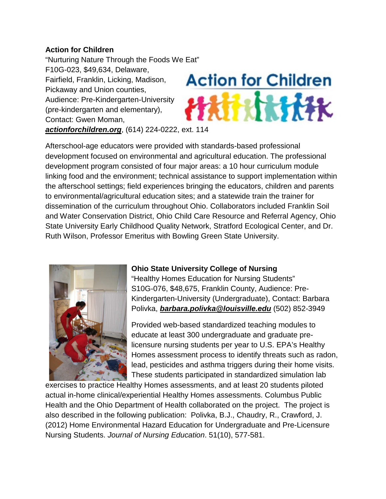#### **Action for Children**

"Nurturing Nature Through the Foods We Eat" F10G-023, \$49,634, Delaware, Fairfield, Franklin, Licking, Madison, Pickaway and Union counties, Audience: Pre-Kindergarten-University (pre-kindergarten and elementary), Contact: Gwen Moman, *[actionforchildren.org](http://www.actionforchildren.org/)*, (614) 224-0222, ext. 114



Afterschool-age educators were provided with standards-based professional development focused on environmental and agricultural education. The professional development program consisted of four major areas: a 10 hour curriculum module linking food and the environment; technical assistance to support implementation within the afterschool settings; field experiences bringing the educators, children and parents to environmental/agricultural education sites; and a statewide train the trainer for dissemination of the curriculum throughout Ohio. Collaborators included Franklin Soil and Water Conservation District, Ohio Child Care Resource and Referral Agency, Ohio State University Early Childhood Quality Network, Stratford Ecological Center, and Dr. Ruth Wilson, Professor Emeritus with Bowling Green State University.



### **Ohio State University College of Nursing**

"Healthy Homes Education for Nursing Students" S10G-076, \$48,675, Franklin County, Audience: Pre-Kindergarten-University (Undergraduate), Contact: Barbara Polivka, *[barbara.polivka@louisville.edu](mailto:barbara.polivka@louisville.edu)* (502) 852-3949

Provided web-based standardized teaching modules to educate at least 300 undergraduate and graduate prelicensure nursing students per year to U.S. EPA's Healthy Homes assessment process to identify threats such as radon, lead, pesticides and asthma triggers during their home visits. These students participated in standardized simulation lab

exercises to practice Healthy Homes assessments, and at least 20 students piloted actual in-home clinical/experiential Healthy Homes assessments. Columbus Public Health and the Ohio Department of Health collaborated on the project. The project is also described in the following publication: Polivka, B.J., Chaudry, R., Crawford, J. (2012) Home Environmental Hazard Education for Undergraduate and Pre-Licensure Nursing Students. *Journal of Nursing Education*. 51(10), 577-581.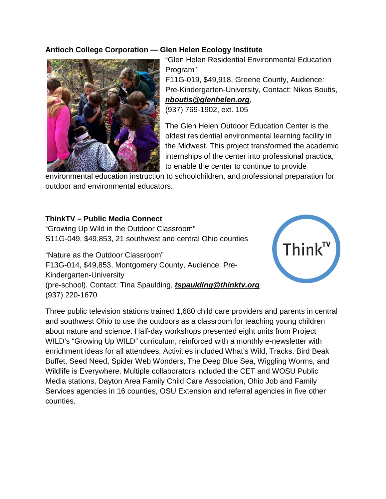### **Antioch College Corporation — Glen Helen Ecology Institute**



"Glen Helen Residential Environmental Education Program" F11G-019, \$49,918, Greene County, Audience: Pre-Kindergarten-University, Contact: Nikos Boutis, *[nboutis@glenhelen.org](mailto:nboutis@glenhelen.org)*, (937) 769-1902, ext. 105

The Glen Helen Outdoor Education Center is the oldest residential environmental learning facility in the Midwest. This project transformed the academic internships of the center into professional practica, to enable the center to continue to provide

environmental education instruction to schoolchildren, and professional preparation for outdoor and environmental educators.

#### **ThinkTV – Public Media Connect**

"Growing Up Wild in the Outdoor Classroom" S11G-049, \$49,853, 21 southwest and central Ohio counties

"Nature as the Outdoor Classroom" F13G-014, \$49,853, Montgomery County, Audience: Pre-Kindergarten-University (pre-school). Contact: Tina Spaulding, *[tspaulding@thinktv.org](mailto:tspaulding@thinktv.org)* (937) 220-1670



Three public television stations trained 1,680 child care providers and parents in central and southwest Ohio to use the outdoors as a classroom for teaching young children about nature and science. Half-day workshops presented eight units from Project WILD's "Growing Up WILD" curriculum, reinforced with a monthly e-newsletter with enrichment ideas for all attendees. Activities included What's Wild, Tracks, Bird Beak Buffet, Seed Need, Spider Web Wonders, The Deep Blue Sea, Wiggling Worms, and Wildlife is Everywhere. Multiple collaborators included the CET and WOSU Public Media stations, Dayton Area Family Child Care Association, Ohio Job and Family Services agencies in 16 counties, OSU Extension and referral agencies in five other counties.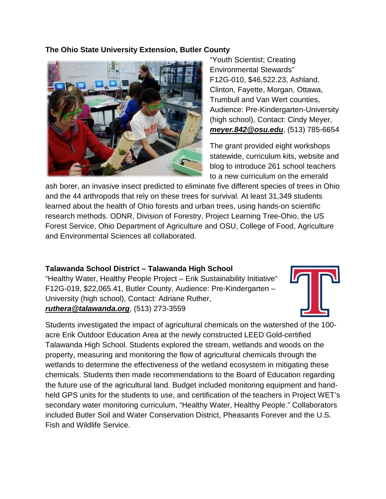#### **The Ohio State University Extension, Butler County**



"Youth Scientist; Creating Environmental Stewards" F12G-010, \$46,522.23, Ashland, Clinton, Fayette, Morgan, Ottawa, Trumbull and Van Wert counties, Audience: Pre-Kindergarten-University (high school), Contact: Cindy Meyer, *[meyer.842@osu.edu](mailto:meyer.842@osu.edu)*, (513) 785-6654

The grant provided eight workshops statewide, curriculum kits, website and blog to introduce 261 school teachers to a new curriculum on the emerald

ash borer, an invasive insect predicted to eliminate five different species of trees in Ohio and the 44 arthropods that rely on these trees for survival. At least 31,349 students learned about the health of Ohio forests and urban trees, using hands-on scientific research methods. ODNR, Division of Forestry, Project Learning Tree-Ohio, the US Forest Service, Ohio Department of Agriculture and OSU, College of Food, Agriculture and Environmental Sciences all collaborated.

#### **Talawanda School District – Talawanda High School**

"Healthy Water, Healthy People Project – Erik Sustainability Initiative" F12G-019, \$22,065.41, Butler County, Audience: Pre-Kindergarten – University (high school), Contact: Adriane Ruther, *[ruthera@talawanda.org](mailto:ruthera@talawanda.org)*, (513) 273-3559



Students investigated the impact of agricultural chemicals on the watershed of the 100 acre Erik Outdoor Education Area at the newly constructed LEED Gold-certified Talawanda High School. Students explored the stream, wetlands and woods on the property, measuring and monitoring the flow of agricultural chemicals through the wetlands to determine the effectiveness of the wetland ecosystem in mitigating these chemicals. Students then made recommendations to the Board of Education regarding the future use of the agricultural land. Budget included monitoring equipment and handheld GPS units for the students to use, and certification of the teachers in Project WET's secondary water monitoring curriculum, "Healthy Water, Healthy People." Collaborators included Butler Soil and Water Conservation District, Pheasants Forever and the U.S. Fish and Wildlife Service.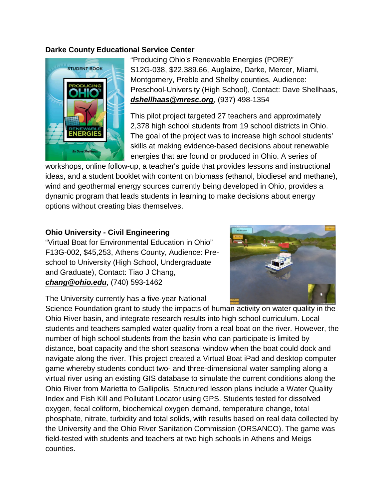#### **Darke County Educational Service Center**



"Producing Ohio's Renewable Energies (PORE)" S12G-038, \$22,389.66, Auglaize, Darke, Mercer, Miami, Montgomery, Preble and Shelby counties, Audience: Preschool-University (High School), Contact: Dave Shellhaas, *[dshellhaas@mresc.org](mailto:dshellhaas@mresc.org)*, (937) 498-1354

This pilot project targeted 27 teachers and approximately 2,378 high school students from 19 school districts in Ohio. The goal of the project was to increase high school students' skills at making evidence-based decisions about renewable energies that are found or produced in Ohio. A series of

workshops, online follow-up, a teacher's guide that provides lessons and instructional ideas, and a student booklet with content on biomass (ethanol, biodiesel and methane), wind and geothermal energy sources currently being developed in Ohio, provides a dynamic program that leads students in learning to make decisions about energy options without creating bias themselves.

#### **Ohio University - Civil Engineering**

"Virtual Boat for Environmental Education in Ohio" F13G-002, \$45,253, Athens County, Audience: Preschool to University (High School, Undergraduate and Graduate), Contact: Tiao J Chang, *[chang@ohio.edu](mailto:chang@ohio.edu)*, (740) 593-1462



The University currently has a five-year National

Science Foundation grant to study the impacts of human activity on water quality in the Ohio River basin, and integrate research results into high school curriculum. Local students and teachers sampled water quality from a real boat on the river. However, the number of high school students from the basin who can participate is limited by distance, boat capacity and the short seasonal window when the boat could dock and navigate along the river. This project created a Virtual Boat iPad and desktop computer game whereby students conduct two- and three-dimensional water sampling along a virtual river using an existing GIS database to simulate the current conditions along the Ohio River from Marietta to Gallipolis. Structured lesson plans include a Water Quality Index and Fish Kill and Pollutant Locator using GPS. Students tested for dissolved oxygen, fecal coliform, biochemical oxygen demand, temperature change, total phosphate, nitrate, turbidity and total solids, with results based on real data collected by the University and the Ohio River Sanitation Commission (ORSANCO). The game was field-tested with students and teachers at two high schools in Athens and Meigs counties.